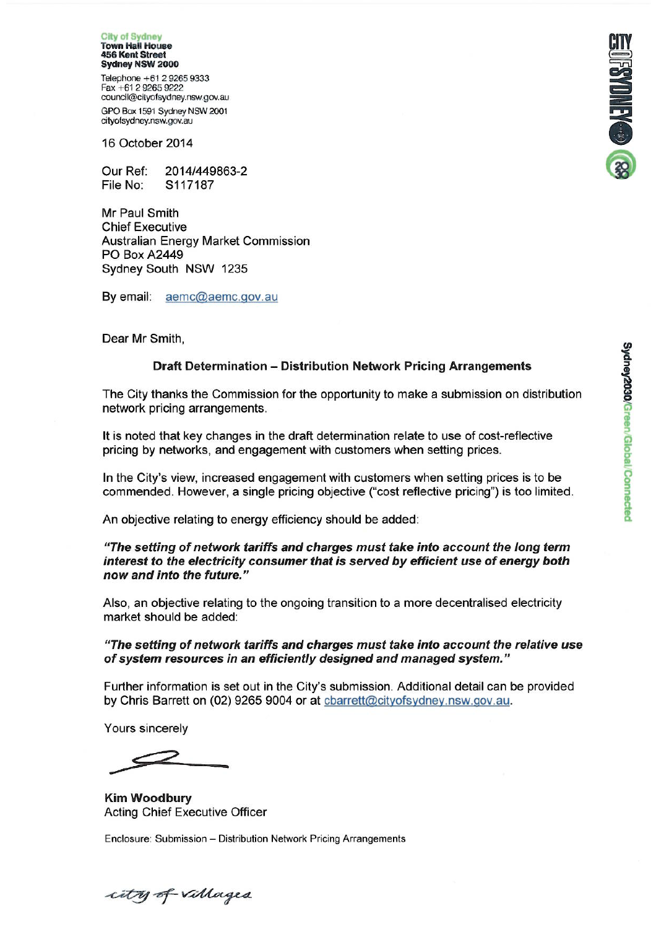**City of Sydney Town Hall House 456 Kent Street** Sydney NSW 2000

Telephone +61 2 9265 9333 Fax +61 2 9265 9222 council@cityofsydney.nsw.gov.au GPO Box 1591 Sydney NSW 2001 cityofsydney.nsw.gov.au

16 October 2014

Our Ref 2014/449863-2 File No: S117187

Mr Paul Smith **Chief Executive Australian Energy Market Commission PO Box A2449** Sydney South NSW 1235

By email: aemc@aemc.gov.au

Dear Mr Smith,

#### **Draft Determination - Distribution Network Pricing Arrangements**

The City thanks the Commission for the opportunity to make a submission on distribution network pricing arrangements.

It is noted that key changes in the draft determination relate to use of cost-reflective pricing by networks, and engagement with customers when setting prices.

In the City's view, increased engagement with customers when setting prices is to be commended. However, a single pricing objective ("cost reflective pricing") is too limited.

An objective relating to energy efficiency should be added:

"The setting of network tariffs and charges must take into account the long term interest to the electricity consumer that is served by efficient use of energy both now and into the future."

Also, an objective relating to the ongoing transition to a more decentralised electricity market should be added:

#### "The setting of network tariffs and charges must take into account the relative use of system resources in an efficiently designed and managed system."

Further information is set out in the City's submission. Additional detail can be provided by Chris Barrett on (02) 9265 9004 or at charrett@cityofsydney.nsw.gov.au.

Yours sincerely

**Kim Woodbury Acting Chief Executive Officer** 

Enclosure: Submission - Distribution Network Pricing Arrangements



city of villages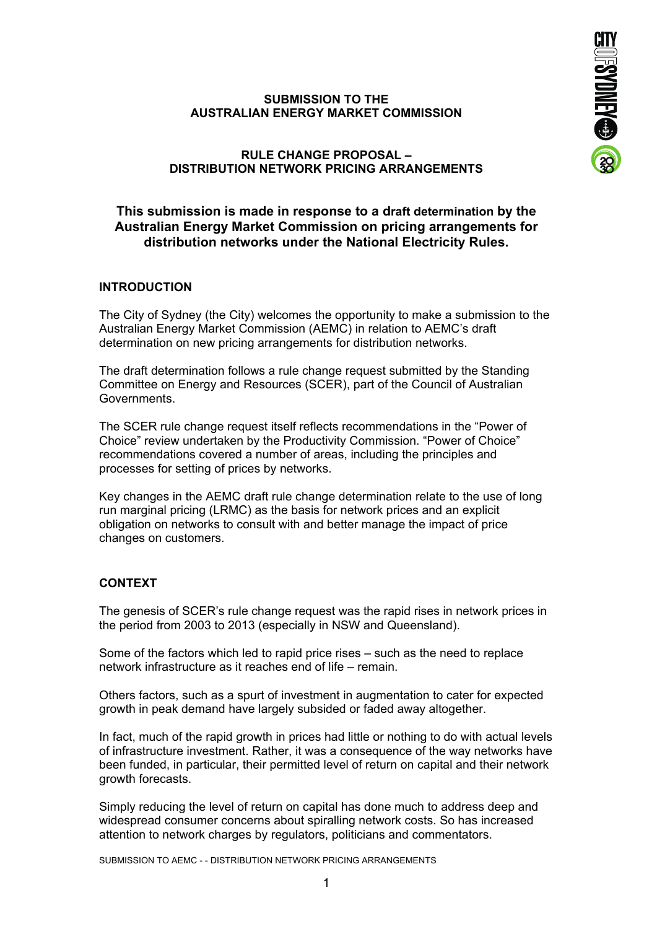

# **SUBMISSION TO THE AUSTRALIAN ENERGY MARKET COMMISSION**

# **RULE CHANGE PROPOSAL – DISTRIBUTION NETWORK PRICING ARRANGEMENTS**

# **This submission is made in response to a draft determination by the Australian Energy Market Commission on pricing arrangements for distribution networks under the National Electricity Rules.**

# **INTRODUCTION**

The City of Sydney (the City) welcomes the opportunity to make a submission to the Australian Energy Market Commission (AEMC) in relation to AEMC's draft determination on new pricing arrangements for distribution networks.

The draft determination follows a rule change request submitted by the Standing Committee on Energy and Resources (SCER), part of the Council of Australian Governments.

The SCER rule change request itself reflects recommendations in the "Power of Choice" review undertaken by the Productivity Commission. "Power of Choice" recommendations covered a number of areas, including the principles and processes for setting of prices by networks.

Key changes in the AEMC draft rule change determination relate to the use of long run marginal pricing (LRMC) as the basis for network prices and an explicit obligation on networks to consult with and better manage the impact of price changes on customers.

# **CONTEXT**

The genesis of SCER's rule change request was the rapid rises in network prices in the period from 2003 to 2013 (especially in NSW and Queensland).

Some of the factors which led to rapid price rises – such as the need to replace network infrastructure as it reaches end of life – remain.

Others factors, such as a spurt of investment in augmentation to cater for expected growth in peak demand have largely subsided or faded away altogether.

In fact, much of the rapid growth in prices had little or nothing to do with actual levels of infrastructure investment. Rather, it was a consequence of the way networks have been funded, in particular, their permitted level of return on capital and their network growth forecasts.

Simply reducing the level of return on capital has done much to address deep and widespread consumer concerns about spiralling network costs. So has increased attention to network charges by regulators, politicians and commentators.

SUBMISSION TO AEMC - - DISTRIBUTION NETWORK PRICING ARRANGEMENTS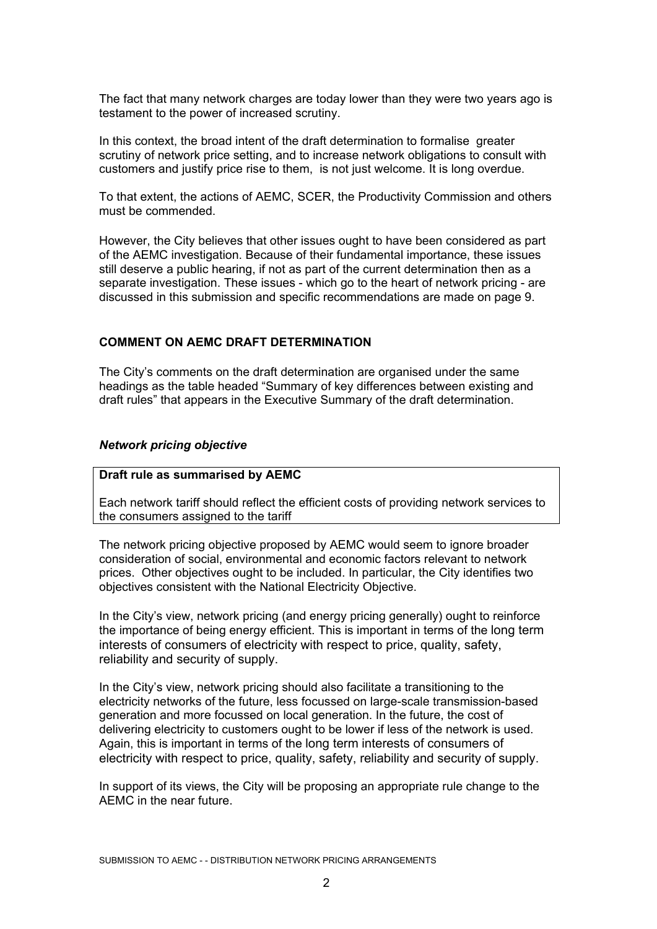The fact that many network charges are today lower than they were two years ago is testament to the power of increased scrutiny.

In this context, the broad intent of the draft determination to formalise greater scrutiny of network price setting, and to increase network obligations to consult with customers and justify price rise to them, is not just welcome. It is long overdue.

To that extent, the actions of AEMC, SCER, the Productivity Commission and others must be commended.

However, the City believes that other issues ought to have been considered as part of the AEMC investigation. Because of their fundamental importance, these issues still deserve a public hearing, if not as part of the current determination then as a separate investigation. These issues - which go to the heart of network pricing - are discussed in this submission and specific recommendations are made on page 9.

#### **COMMENT ON AEMC DRAFT DETERMINATION**

The City's comments on the draft determination are organised under the same headings as the table headed "Summary of key differences between existing and draft rules" that appears in the Executive Summary of the draft determination.

#### *Network pricing objective*

#### **Draft rule as summarised by AEMC**

Each network tariff should reflect the efficient costs of providing network services to the consumers assigned to the tariff

The network pricing objective proposed by AEMC would seem to ignore broader consideration of social, environmental and economic factors relevant to network prices. Other objectives ought to be included. In particular, the City identifies two objectives consistent with the National Electricity Objective.

In the City's view, network pricing (and energy pricing generally) ought to reinforce the importance of being energy efficient. This is important in terms of the long term interests of consumers of electricity with respect to price, quality, safety, reliability and security of supply.

In the City's view, network pricing should also facilitate a transitioning to the electricity networks of the future, less focussed on large-scale transmission-based generation and more focussed on local generation. In the future, the cost of delivering electricity to customers ought to be lower if less of the network is used. Again, this is important in terms of the long term interests of consumers of electricity with respect to price, quality, safety, reliability and security of supply.

In support of its views, the City will be proposing an appropriate rule change to the AEMC in the near future.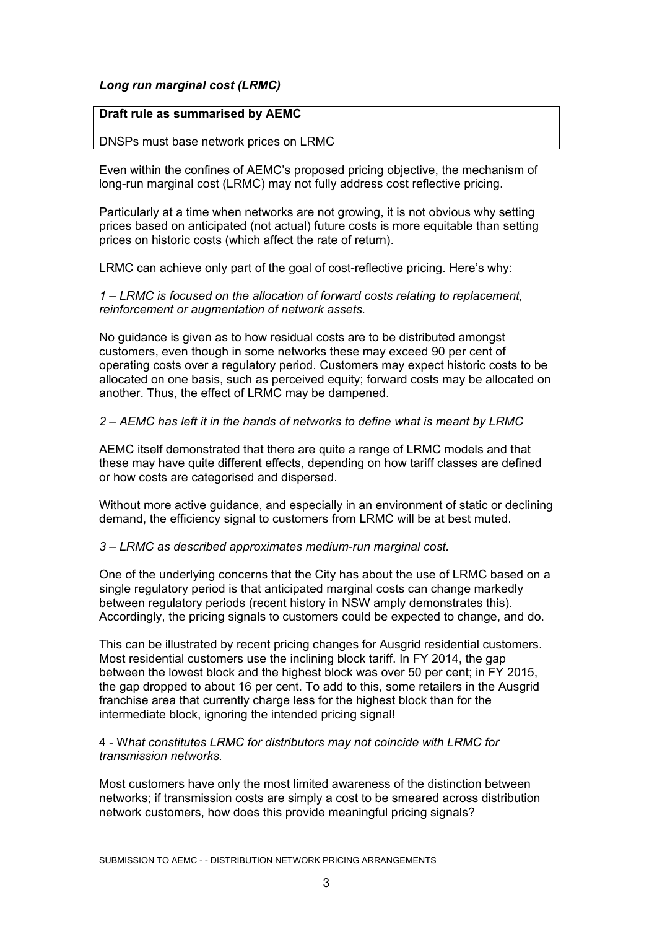# *Long run marginal cost (LRMC)*

### **Draft rule as summarised by AEMC**

### DNSPs must base network prices on LRMC

Even within the confines of AEMC's proposed pricing objective, the mechanism of long-run marginal cost (LRMC) may not fully address cost reflective pricing.

Particularly at a time when networks are not growing, it is not obvious why setting prices based on anticipated (not actual) future costs is more equitable than setting prices on historic costs (which affect the rate of return).

LRMC can achieve only part of the goal of cost-reflective pricing. Here's why:

*1 – LRMC is focused on the allocation of forward costs relating to replacement, reinforcement or augmentation of network assets.* 

No guidance is given as to how residual costs are to be distributed amongst customers, even though in some networks these may exceed 90 per cent of operating costs over a regulatory period. Customers may expect historic costs to be allocated on one basis, such as perceived equity; forward costs may be allocated on another. Thus, the effect of LRMC may be dampened.

# *2 – AEMC has left it in the hands of networks to define what is meant by LRMC*

AEMC itself demonstrated that there are quite a range of LRMC models and that these may have quite different effects, depending on how tariff classes are defined or how costs are categorised and dispersed.

Without more active guidance, and especially in an environment of static or declining demand, the efficiency signal to customers from LRMC will be at best muted.

#### *3 – LRMC as described approximates medium-run marginal cost.*

One of the underlying concerns that the City has about the use of LRMC based on a single regulatory period is that anticipated marginal costs can change markedly between regulatory periods (recent history in NSW amply demonstrates this). Accordingly, the pricing signals to customers could be expected to change, and do.

This can be illustrated by recent pricing changes for Ausgrid residential customers. Most residential customers use the inclining block tariff. In FY 2014, the gap between the lowest block and the highest block was over 50 per cent; in FY 2015, the gap dropped to about 16 per cent. To add to this, some retailers in the Ausgrid franchise area that currently charge less for the highest block than for the intermediate block, ignoring the intended pricing signal!

### 4 - W*hat constitutes LRMC for distributors may not coincide with LRMC for transmission networks.*

Most customers have only the most limited awareness of the distinction between networks; if transmission costs are simply a cost to be smeared across distribution network customers, how does this provide meaningful pricing signals?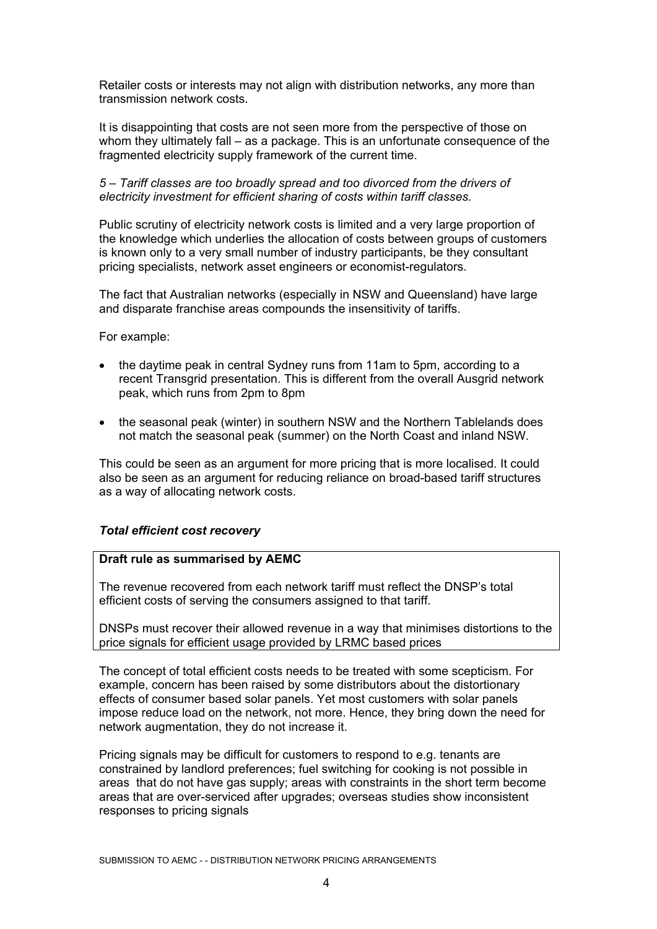Retailer costs or interests may not align with distribution networks, any more than transmission network costs.

It is disappointing that costs are not seen more from the perspective of those on whom they ultimately fall – as a package. This is an unfortunate consequence of the fragmented electricity supply framework of the current time.

*5 – Tariff classes are too broadly spread and too divorced from the drivers of electricity investment for efficient sharing of costs within tariff classes.* 

Public scrutiny of electricity network costs is limited and a very large proportion of the knowledge which underlies the allocation of costs between groups of customers is known only to a very small number of industry participants, be they consultant pricing specialists, network asset engineers or economist-regulators.

The fact that Australian networks (especially in NSW and Queensland) have large and disparate franchise areas compounds the insensitivity of tariffs.

For example:

- the daytime peak in central Sydney runs from 11am to 5pm, according to a recent Transgrid presentation. This is different from the overall Ausgrid network peak, which runs from 2pm to 8pm
- the seasonal peak (winter) in southern NSW and the Northern Tablelands does not match the seasonal peak (summer) on the North Coast and inland NSW.

This could be seen as an argument for more pricing that is more localised. It could also be seen as an argument for reducing reliance on broad-based tariff structures as a way of allocating network costs.

#### *Total efficient cost recovery*

### **Draft rule as summarised by AEMC**

The revenue recovered from each network tariff must reflect the DNSP's total efficient costs of serving the consumers assigned to that tariff.

DNSPs must recover their allowed revenue in a way that minimises distortions to the price signals for efficient usage provided by LRMC based prices

The concept of total efficient costs needs to be treated with some scepticism. For example, concern has been raised by some distributors about the distortionary effects of consumer based solar panels. Yet most customers with solar panels impose reduce load on the network, not more. Hence, they bring down the need for network augmentation, they do not increase it.

Pricing signals may be difficult for customers to respond to e.g. tenants are constrained by landlord preferences; fuel switching for cooking is not possible in areas that do not have gas supply; areas with constraints in the short term become areas that are over-serviced after upgrades; overseas studies show inconsistent responses to pricing signals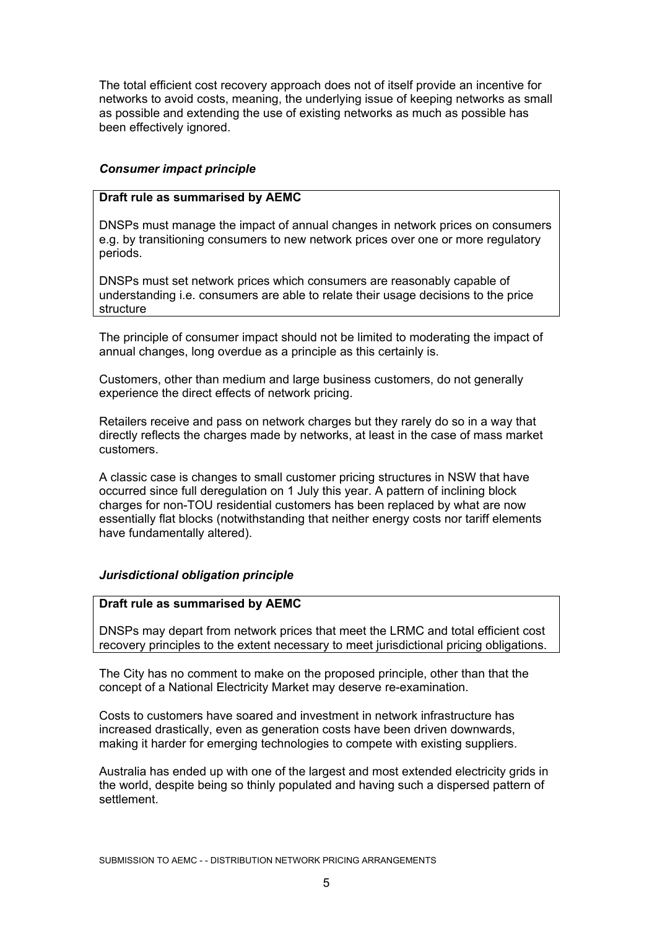The total efficient cost recovery approach does not of itself provide an incentive for networks to avoid costs, meaning, the underlying issue of keeping networks as small as possible and extending the use of existing networks as much as possible has been effectively ignored.

# *Consumer impact principle*

# **Draft rule as summarised by AEMC**

DNSPs must manage the impact of annual changes in network prices on consumers e.g. by transitioning consumers to new network prices over one or more regulatory periods.

DNSPs must set network prices which consumers are reasonably capable of understanding i.e. consumers are able to relate their usage decisions to the price structure

The principle of consumer impact should not be limited to moderating the impact of annual changes, long overdue as a principle as this certainly is.

Customers, other than medium and large business customers, do not generally experience the direct effects of network pricing.

Retailers receive and pass on network charges but they rarely do so in a way that directly reflects the charges made by networks, at least in the case of mass market customers.

A classic case is changes to small customer pricing structures in NSW that have occurred since full deregulation on 1 July this year. A pattern of inclining block charges for non-TOU residential customers has been replaced by what are now essentially flat blocks (notwithstanding that neither energy costs nor tariff elements have fundamentally altered).

# *Jurisdictional obligation principle*

# **Draft rule as summarised by AEMC**

DNSPs may depart from network prices that meet the LRMC and total efficient cost recovery principles to the extent necessary to meet jurisdictional pricing obligations.

The City has no comment to make on the proposed principle, other than that the concept of a National Electricity Market may deserve re-examination.

Costs to customers have soared and investment in network infrastructure has increased drastically, even as generation costs have been driven downwards, making it harder for emerging technologies to compete with existing suppliers.

Australia has ended up with one of the largest and most extended electricity grids in the world, despite being so thinly populated and having such a dispersed pattern of settlement.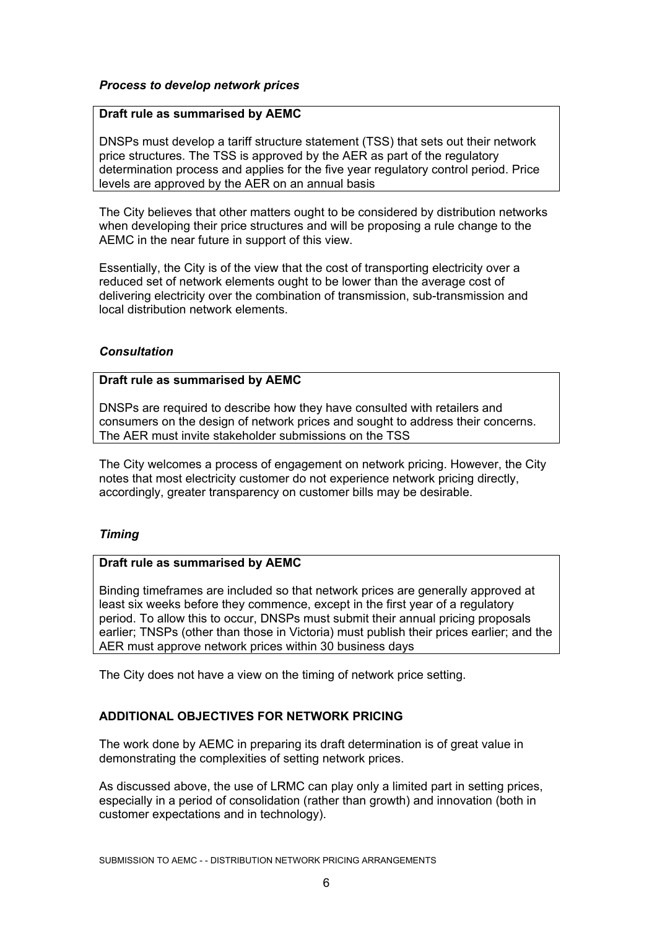# *Process to develop network prices*

### **Draft rule as summarised by AEMC**

DNSPs must develop a tariff structure statement (TSS) that sets out their network price structures. The TSS is approved by the AER as part of the regulatory determination process and applies for the five year regulatory control period. Price levels are approved by the AER on an annual basis

The City believes that other matters ought to be considered by distribution networks when developing their price structures and will be proposing a rule change to the AEMC in the near future in support of this view.

Essentially, the City is of the view that the cost of transporting electricity over a reduced set of network elements ought to be lower than the average cost of delivering electricity over the combination of transmission, sub-transmission and local distribution network elements.

### *Consultation*

### **Draft rule as summarised by AEMC**

DNSPs are required to describe how they have consulted with retailers and consumers on the design of network prices and sought to address their concerns. The AER must invite stakeholder submissions on the TSS

The City welcomes a process of engagement on network pricing. However, the City notes that most electricity customer do not experience network pricing directly, accordingly, greater transparency on customer bills may be desirable.

# *Timing*

# **Draft rule as summarised by AEMC**

Binding timeframes are included so that network prices are generally approved at least six weeks before they commence, except in the first year of a regulatory period. To allow this to occur, DNSPs must submit their annual pricing proposals earlier; TNSPs (other than those in Victoria) must publish their prices earlier; and the AER must approve network prices within 30 business days

The City does not have a view on the timing of network price setting.

# **ADDITIONAL OBJECTIVES FOR NETWORK PRICING**

The work done by AEMC in preparing its draft determination is of great value in demonstrating the complexities of setting network prices.

As discussed above, the use of LRMC can play only a limited part in setting prices, especially in a period of consolidation (rather than growth) and innovation (both in customer expectations and in technology).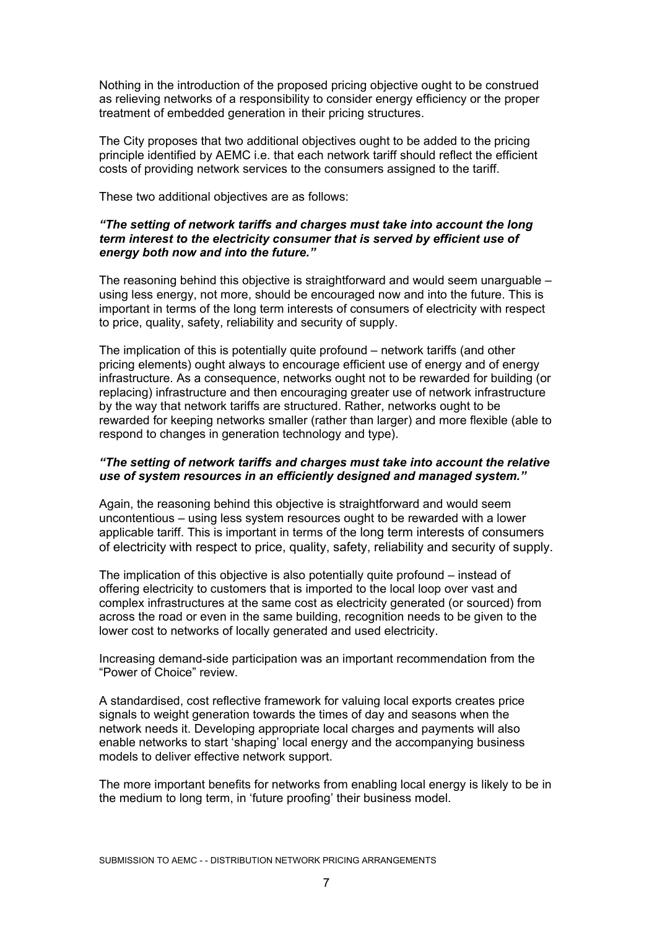Nothing in the introduction of the proposed pricing objective ought to be construed as relieving networks of a responsibility to consider energy efficiency or the proper treatment of embedded generation in their pricing structures.

The City proposes that two additional objectives ought to be added to the pricing principle identified by AEMC i.e. that each network tariff should reflect the efficient costs of providing network services to the consumers assigned to the tariff.

These two additional objectives are as follows:

### *"The setting of network tariffs and charges must take into account the long term interest to the electricity consumer that is served by efficient use of energy both now and into the future."*

The reasoning behind this objective is straightforward and would seem unarguable  $$ using less energy, not more, should be encouraged now and into the future. This is important in terms of the long term interests of consumers of electricity with respect to price, quality, safety, reliability and security of supply.

The implication of this is potentially quite profound – network tariffs (and other pricing elements) ought always to encourage efficient use of energy and of energy infrastructure. As a consequence, networks ought not to be rewarded for building (or replacing) infrastructure and then encouraging greater use of network infrastructure by the way that network tariffs are structured. Rather, networks ought to be rewarded for keeping networks smaller (rather than larger) and more flexible (able to respond to changes in generation technology and type).

### *"The setting of network tariffs and charges must take into account the relative use of system resources in an efficiently designed and managed system."*

Again, the reasoning behind this objective is straightforward and would seem uncontentious – using less system resources ought to be rewarded with a lower applicable tariff. This is important in terms of the long term interests of consumers of electricity with respect to price, quality, safety, reliability and security of supply.

The implication of this objective is also potentially quite profound – instead of offering electricity to customers that is imported to the local loop over vast and complex infrastructures at the same cost as electricity generated (or sourced) from across the road or even in the same building, recognition needs to be given to the lower cost to networks of locally generated and used electricity.

Increasing demand-side participation was an important recommendation from the "Power of Choice" review.

A standardised, cost reflective framework for valuing local exports creates price signals to weight generation towards the times of day and seasons when the network needs it. Developing appropriate local charges and payments will also enable networks to start 'shaping' local energy and the accompanying business models to deliver effective network support.

The more important benefits for networks from enabling local energy is likely to be in the medium to long term, in 'future proofing' their business model.